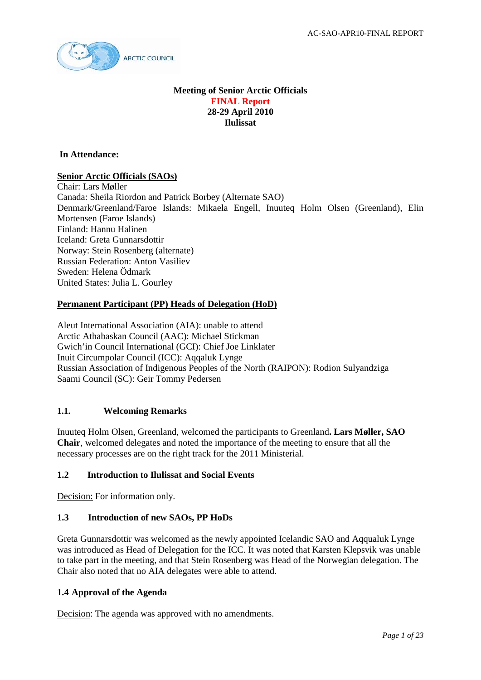

### **Meeting of Senior Arctic Officials FINAL Report 28-29 April 2010 Ilulissat**

**In Attendance:** 

### **Senior Arctic Officials (SAOs)**

Chair: Lars Møller Canada: Sheila Riordon and Patrick Borbey (Alternate SAO) Denmark/Greenland/Faroe Islands: Mikaela Engell, Inuuteq Holm Olsen (Greenland), Elin Mortensen (Faroe Islands) Finland: Hannu Halinen Iceland: Greta Gunnarsdottir Norway: Stein Rosenberg (alternate) Russian Federation: Anton Vasiliev Sweden: Helena Ödmark United States: Julia L. Gourley

### **Permanent Participant (PP) Heads of Delegation (HoD)**

Aleut International Association (AIA): unable to attend Arctic Athabaskan Council (AAC): Michael Stickman Gwich'in Council International (GCI): Chief Joe Linklater Inuit Circumpolar Council (ICC): Aqqaluk Lynge Russian Association of Indigenous Peoples of the North (RAIPON): Rodion Sulyandziga Saami Council (SC): Geir Tommy Pedersen

### **1.1. Welcoming Remarks**

Inuuteq Holm Olsen, Greenland, welcomed the participants to Greenland**. Lars Møller, SAO Chair**, welcomed delegates and noted the importance of the meeting to ensure that all the necessary processes are on the right track for the 2011 Ministerial.

### **1.2 Introduction to Ilulissat and Social Events**

Decision: For information only.

### **1.3 Introduction of new SAOs, PP HoDs**

Greta Gunnarsdottir was welcomed as the newly appointed Icelandic SAO and Aqqualuk Lynge was introduced as Head of Delegation for the ICC. It was noted that Karsten Klepsvik was unable to take part in the meeting, and that Stein Rosenberg was Head of the Norwegian delegation. The Chair also noted that no AIA delegates were able to attend.

### **1.4 Approval of the Agenda**

Decision: The agenda was approved with no amendments.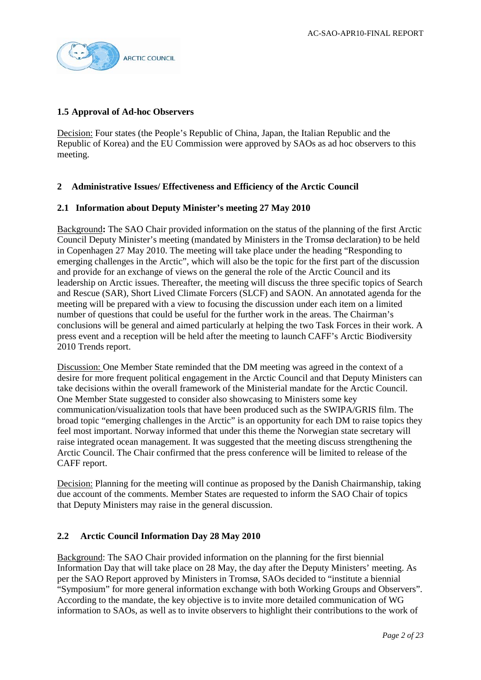

### **1.5 Approval of Ad-hoc Observers**

Decision: Four states (the People's Republic of China, Japan, the Italian Republic and the Republic of Korea) and the EU Commission were approved by SAOs as ad hoc observers to this meeting.

# **2 Administrative Issues/ Effectiveness and Efficiency of the Arctic Council**

### **2.1 Information about Deputy Minister's meeting 27 May 2010**

Background**:** The SAO Chair provided information on the status of the planning of the first Arctic Council Deputy Minister's meeting (mandated by Ministers in the Tromsø declaration) to be held in Copenhagen 27 May 2010. The meeting will take place under the heading "Responding to emerging challenges in the Arctic", which will also be the topic for the first part of the discussion and provide for an exchange of views on the general the role of the Arctic Council and its leadership on Arctic issues. Thereafter, the meeting will discuss the three specific topics of Search and Rescue (SAR), Short Lived Climate Forcers (SLCF) and SAON. An annotated agenda for the meeting will be prepared with a view to focusing the discussion under each item on a limited number of questions that could be useful for the further work in the areas. The Chairman's conclusions will be general and aimed particularly at helping the two Task Forces in their work. A press event and a reception will be held after the meeting to launch CAFF's Arctic Biodiversity 2010 Trends report.

Discussion: One Member State reminded that the DM meeting was agreed in the context of a desire for more frequent political engagement in the Arctic Council and that Deputy Ministers can take decisions within the overall framework of the Ministerial mandate for the Arctic Council. One Member State suggested to consider also showcasing to Ministers some key communication/visualization tools that have been produced such as the SWIPA/GRIS film. The broad topic "emerging challenges in the Arctic" is an opportunity for each DM to raise topics they feel most important. Norway informed that under this theme the Norwegian state secretary will raise integrated ocean management. It was suggested that the meeting discuss strengthening the Arctic Council. The Chair confirmed that the press conference will be limited to release of the CAFF report.

Decision: Planning for the meeting will continue as proposed by the Danish Chairmanship, taking due account of the comments. Member States are requested to inform the SAO Chair of topics that Deputy Ministers may raise in the general discussion.

### **2.2 Arctic Council Information Day 28 May 2010**

Background: The SAO Chair provided information on the planning for the first biennial Information Day that will take place on 28 May, the day after the Deputy Ministers' meeting. As per the SAO Report approved by Ministers in Tromsø, SAOs decided to "institute a biennial "Symposium" for more general information exchange with both Working Groups and Observers". According to the mandate, the key objective is to invite more detailed communication of WG information to SAOs, as well as to invite observers to highlight their contributions to the work of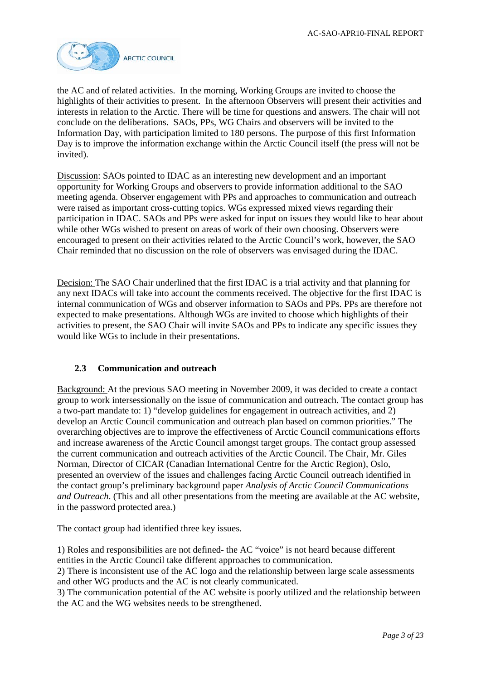

the AC and of related activities. In the morning, Working Groups are invited to choose the highlights of their activities to present. In the afternoon Observers will present their activities and interests in relation to the Arctic. There will be time for questions and answers. The chair will not conclude on the deliberations. SAOs, PPs, WG Chairs and observers will be invited to the Information Day, with participation limited to 180 persons. The purpose of this first Information Day is to improve the information exchange within the Arctic Council itself (the press will not be invited).

Discussion: SAOs pointed to IDAC as an interesting new development and an important opportunity for Working Groups and observers to provide information additional to the SAO meeting agenda. Observer engagement with PPs and approaches to communication and outreach were raised as important cross-cutting topics. WGs expressed mixed views regarding their participation in IDAC. SAOs and PPs were asked for input on issues they would like to hear about while other WGs wished to present on areas of work of their own choosing. Observers were encouraged to present on their activities related to the Arctic Council's work, however, the SAO Chair reminded that no discussion on the role of observers was envisaged during the IDAC.

Decision: The SAO Chair underlined that the first IDAC is a trial activity and that planning for any next IDACs will take into account the comments received. The objective for the first IDAC is internal communication of WGs and observer information to SAOs and PPs. PPs are therefore not expected to make presentations. Although WGs are invited to choose which highlights of their activities to present, the SAO Chair will invite SAOs and PPs to indicate any specific issues they would like WGs to include in their presentations.

### **2.3 Communication and outreach**

Background: At the previous SAO meeting in November 2009, it was decided to create a contact group to work intersessionally on the issue of communication and outreach. The contact group has a two-part mandate to: 1) "develop guidelines for engagement in outreach activities, and 2) develop an Arctic Council communication and outreach plan based on common priorities." The overarching objectives are to improve the effectiveness of Arctic Council communications efforts and increase awareness of the Arctic Council amongst target groups. The contact group assessed the current communication and outreach activities of the Arctic Council. The Chair, Mr. Giles Norman, Director of CICAR (Canadian International Centre for the Arctic Region), Oslo, presented an overview of the issues and challenges facing Arctic Council outreach identified in the contact group's preliminary background paper *Analysis of Arctic Council Communications and Outreach*. (This and all other presentations from the meeting are available at the AC website, in the password protected area.)

The contact group had identified three key issues.

1) Roles and responsibilities are not defined- the AC "voice" is not heard because different entities in the Arctic Council take different approaches to communication.

2) There is inconsistent use of the AC logo and the relationship between large scale assessments and other WG products and the AC is not clearly communicated.

3) The communication potential of the AC website is poorly utilized and the relationship between the AC and the WG websites needs to be strengthened.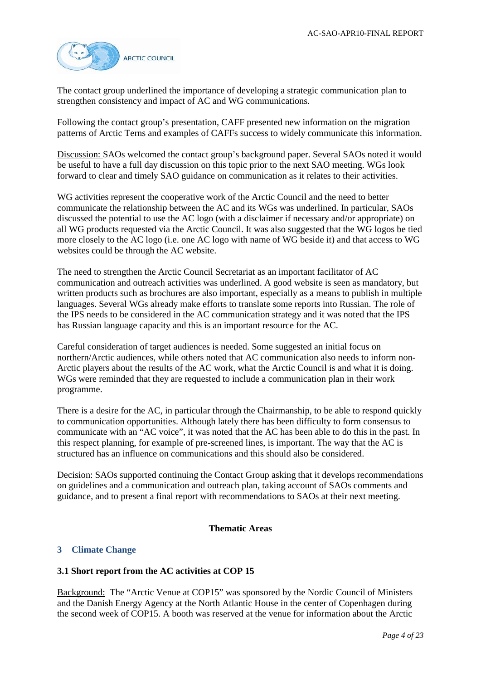

The contact group underlined the importance of developing a strategic communication plan to strengthen consistency and impact of AC and WG communications.

Following the contact group's presentation, CAFF presented new information on the migration patterns of Arctic Terns and examples of CAFFs success to widely communicate this information.

Discussion: SAOs welcomed the contact group's background paper. Several SAOs noted it would be useful to have a full day discussion on this topic prior to the next SAO meeting. WGs look forward to clear and timely SAO guidance on communication as it relates to their activities.

WG activities represent the cooperative work of the Arctic Council and the need to better communicate the relationship between the AC and its WGs was underlined. In particular, SAOs discussed the potential to use the AC logo (with a disclaimer if necessary and/or appropriate) on all WG products requested via the Arctic Council. It was also suggested that the WG logos be tied more closely to the AC logo (i.e. one AC logo with name of WG beside it) and that access to WG websites could be through the AC website.

The need to strengthen the Arctic Council Secretariat as an important facilitator of AC communication and outreach activities was underlined. A good website is seen as mandatory, but written products such as brochures are also important, especially as a means to publish in multiple languages. Several WGs already make efforts to translate some reports into Russian. The role of the IPS needs to be considered in the AC communication strategy and it was noted that the IPS has Russian language capacity and this is an important resource for the AC.

Careful consideration of target audiences is needed. Some suggested an initial focus on northern/Arctic audiences, while others noted that AC communication also needs to inform non-Arctic players about the results of the AC work, what the Arctic Council is and what it is doing. WGs were reminded that they are requested to include a communication plan in their work programme.

There is a desire for the AC, in particular through the Chairmanship, to be able to respond quickly to communication opportunities. Although lately there has been difficulty to form consensus to communicate with an "AC voice", it was noted that the AC has been able to do this in the past. In this respect planning, for example of pre-screened lines, is important. The way that the AC is structured has an influence on communications and this should also be considered.

Decision: SAOs supported continuing the Contact Group asking that it develops recommendations on guidelines and a communication and outreach plan, taking account of SAOs comments and guidance, and to present a final report with recommendations to SAOs at their next meeting.

### **Thematic Areas**

### **3 Climate Change**

### **3.1 Short report from the AC activities at COP 15**

Background: The "Arctic Venue at COP15" was sponsored by the Nordic Council of Ministers and the Danish Energy Agency at the North Atlantic House in the center of Copenhagen during the second week of COP15. A booth was reserved at the venue for information about the Arctic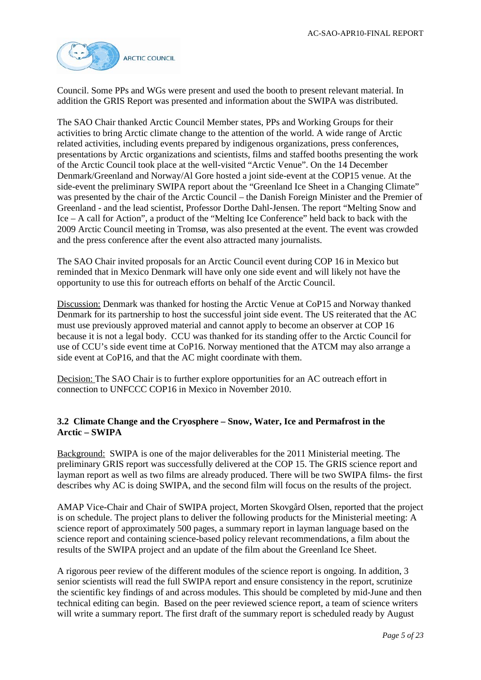

Council. Some PPs and WGs were present and used the booth to present relevant material. In addition the GRIS Report was presented and information about the SWIPA was distributed.

The SAO Chair thanked Arctic Council Member states, PPs and Working Groups for their activities to bring Arctic climate change to the attention of the world. A wide range of Arctic related activities, including events prepared by indigenous organizations, press conferences, presentations by Arctic organizations and scientists, films and staffed booths presenting the work of the Arctic Council took place at the well-visited "Arctic Venue". On the 14 December Denmark/Greenland and Norway/Al Gore hosted a joint side-event at the COP15 venue. At the side-event the preliminary SWIPA report about the "Greenland Ice Sheet in a Changing Climate" was presented by the chair of the Arctic Council – the Danish Foreign Minister and the Premier of Greenland - and the lead scientist, Professor Dorthe Dahl-Jensen. The report "Melting Snow and Ice – A call for Action", a product of the "Melting Ice Conference" held back to back with the 2009 Arctic Council meeting in Tromsø, was also presented at the event. The event was crowded and the press conference after the event also attracted many journalists.

The SAO Chair invited proposals for an Arctic Council event during COP 16 in Mexico but reminded that in Mexico Denmark will have only one side event and will likely not have the opportunity to use this for outreach efforts on behalf of the Arctic Council.

Discussion: Denmark was thanked for hosting the Arctic Venue at CoP15 and Norway thanked Denmark for its partnership to host the successful joint side event. The US reiterated that the AC must use previously approved material and cannot apply to become an observer at COP 16 because it is not a legal body. CCU was thanked for its standing offer to the Arctic Council for use of CCU's side event time at CoP16. Norway mentioned that the ATCM may also arrange a side event at CoP16, and that the AC might coordinate with them.

Decision: The SAO Chair is to further explore opportunities for an AC outreach effort in connection to UNFCCC COP16 in Mexico in November 2010.

# **3.2 Climate Change and the Cryosphere – Snow, Water, Ice and Permafrost in the Arctic – SWIPA**

Background: SWIPA is one of the major deliverables for the 2011 Ministerial meeting. The preliminary GRIS report was successfully delivered at the COP 15. The GRIS science report and layman report as well as two films are already produced. There will be two SWIPA films- the first describes why AC is doing SWIPA, and the second film will focus on the results of the project.

AMAP Vice-Chair and Chair of SWIPA project, Morten Skovgård Olsen, reported that the project is on schedule. The project plans to deliver the following products for the Ministerial meeting: A science report of approximately 500 pages, a summary report in layman language based on the science report and containing science-based policy relevant recommendations, a film about the results of the SWIPA project and an update of the film about the Greenland Ice Sheet.

A rigorous peer review of the different modules of the science report is ongoing. In addition, 3 senior scientists will read the full SWIPA report and ensure consistency in the report, scrutinize the scientific key findings of and across modules. This should be completed by mid-June and then technical editing can begin. Based on the peer reviewed science report, a team of science writers will write a summary report. The first draft of the summary report is scheduled ready by August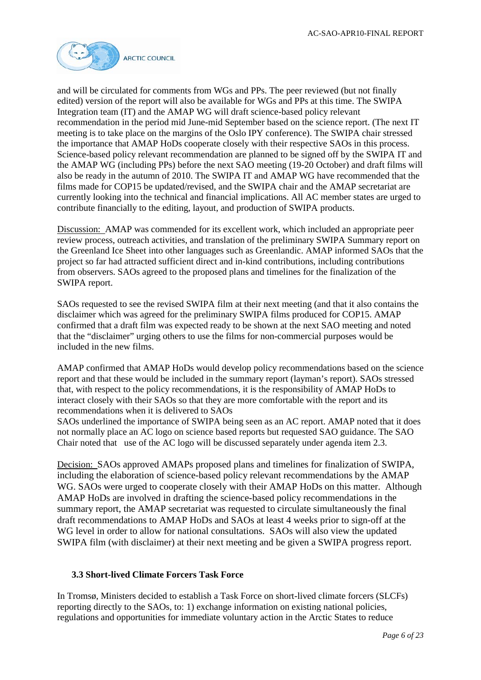

and will be circulated for comments from WGs and PPs. The peer reviewed (but not finally edited) version of the report will also be available for WGs and PPs at this time. The SWIPA Integration team (IT) and the AMAP WG will draft science-based policy relevant recommendation in the period mid June-mid September based on the science report. (The next IT meeting is to take place on the margins of the Oslo IPY conference). The SWIPA chair stressed the importance that AMAP HoDs cooperate closely with their respective SAOs in this process. Science-based policy relevant recommendation are planned to be signed off by the SWIPA IT and the AMAP WG (including PPs) before the next SAO meeting (19-20 October) and draft films will also be ready in the autumn of 2010. The SWIPA IT and AMAP WG have recommended that the films made for COP15 be updated/revised, and the SWIPA chair and the AMAP secretariat are currently looking into the technical and financial implications. All AC member states are urged to contribute financially to the editing, layout, and production of SWIPA products.

Discussion: AMAP was commended for its excellent work, which included an appropriate peer review process, outreach activities, and translation of the preliminary SWIPA Summary report on the Greenland Ice Sheet into other languages such as Greenlandic. AMAP informed SAOs that the project so far had attracted sufficient direct and in-kind contributions, including contributions from observers. SAOs agreed to the proposed plans and timelines for the finalization of the SWIPA report.

SAOs requested to see the revised SWIPA film at their next meeting (and that it also contains the disclaimer which was agreed for the preliminary SWIPA films produced for COP15. AMAP confirmed that a draft film was expected ready to be shown at the next SAO meeting and noted that the "disclaimer" urging others to use the films for non-commercial purposes would be included in the new films.

AMAP confirmed that AMAP HoDs would develop policy recommendations based on the science report and that these would be included in the summary report (layman's report). SAOs stressed that, with respect to the policy recommendations, it is the responsibility of AMAP HoDs to interact closely with their SAOs so that they are more comfortable with the report and its recommendations when it is delivered to SAOs

SAOs underlined the importance of SWIPA being seen as an AC report. AMAP noted that it does not normally place an AC logo on science based reports but requested SAO guidance. The SAO Chair noted that use of the AC logo will be discussed separately under agenda item 2.3.

Decision: SAOs approved AMAPs proposed plans and timelines for finalization of SWIPA, including the elaboration of science-based policy relevant recommendations by the AMAP WG. SAOs were urged to cooperate closely with their AMAP HoDs on this matter. Although AMAP HoDs are involved in drafting the science-based policy recommendations in the summary report, the AMAP secretariat was requested to circulate simultaneously the final draft recommendations to AMAP HoDs and SAOs at least 4 weeks prior to sign-off at the WG level in order to allow for national consultations. SAOs will also view the updated SWIPA film (with disclaimer) at their next meeting and be given a SWIPA progress report.

### **3.3 Short-lived Climate Forcers Task Force**

In Tromsø, Ministers decided to establish a Task Force on short-lived climate forcers (SLCFs) reporting directly to the SAOs, to: 1) exchange information on existing national policies, regulations and opportunities for immediate voluntary action in the Arctic States to reduce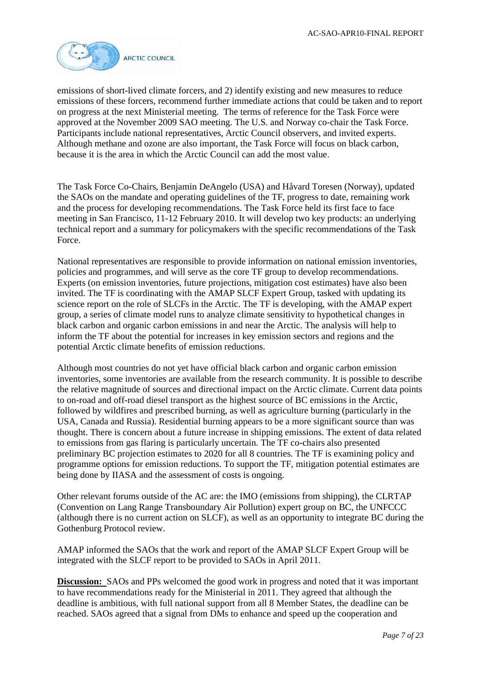

emissions of short-lived climate forcers, and 2) identify existing and new measures to reduce emissions of these forcers, recommend further immediate actions that could be taken and to report on progress at the next Ministerial meeting. The terms of reference for the Task Force were approved at the November 2009 SAO meeting. The U.S. and Norway co-chair the Task Force. Participants include national representatives, Arctic Council observers, and invited experts. Although methane and ozone are also important, the Task Force will focus on black carbon, because it is the area in which the Arctic Council can add the most value.

The Task Force Co-Chairs, Benjamin DeAngelo (USA) and Håvard Toresen (Norway), updated the SAOs on the mandate and operating guidelines of the TF, progress to date, remaining work and the process for developing recommendations. The Task Force held its first face to face meeting in San Francisco, 11-12 February 2010. It will develop two key products: an underlying technical report and a summary for policymakers with the specific recommendations of the Task Force.

National representatives are responsible to provide information on national emission inventories, policies and programmes, and will serve as the core TF group to develop recommendations. Experts (on emission inventories, future projections, mitigation cost estimates) have also been invited. The TF is coordinating with the AMAP SLCF Expert Group, tasked with updating its science report on the role of SLCFs in the Arctic. The TF is developing, with the AMAP expert group, a series of climate model runs to analyze climate sensitivity to hypothetical changes in black carbon and organic carbon emissions in and near the Arctic. The analysis will help to inform the TF about the potential for increases in key emission sectors and regions and the potential Arctic climate benefits of emission reductions.

Although most countries do not yet have official black carbon and organic carbon emission inventories, some inventories are available from the research community. It is possible to describe the relative magnitude of sources and directional impact on the Arctic climate. Current data points to on-road and off-road diesel transport as the highest source of BC emissions in the Arctic, followed by wildfires and prescribed burning, as well as agriculture burning (particularly in the USA, Canada and Russia). Residential burning appears to be a more significant source than was thought. There is concern about a future increase in shipping emissions. The extent of data related to emissions from gas flaring is particularly uncertain. The TF co-chairs also presented preliminary BC projection estimates to 2020 for all 8 countries. The TF is examining policy and programme options for emission reductions. To support the TF, mitigation potential estimates are being done by IIASA and the assessment of costs is ongoing.

Other relevant forums outside of the AC are: the IMO (emissions from shipping), the CLRTAP (Convention on Lang Range Transboundary Air Pollution) expert group on BC, the UNFCCC (although there is no current action on SLCF), as well as an opportunity to integrate BC during the Gothenburg Protocol review.

AMAP informed the SAOs that the work and report of the AMAP SLCF Expert Group will be integrated with the SLCF report to be provided to SAOs in April 2011.

**Discussion:** SAOs and PPs welcomed the good work in progress and noted that it was important to have recommendations ready for the Ministerial in 2011. They agreed that although the deadline is ambitious, with full national support from all 8 Member States, the deadline can be reached. SAOs agreed that a signal from DMs to enhance and speed up the cooperation and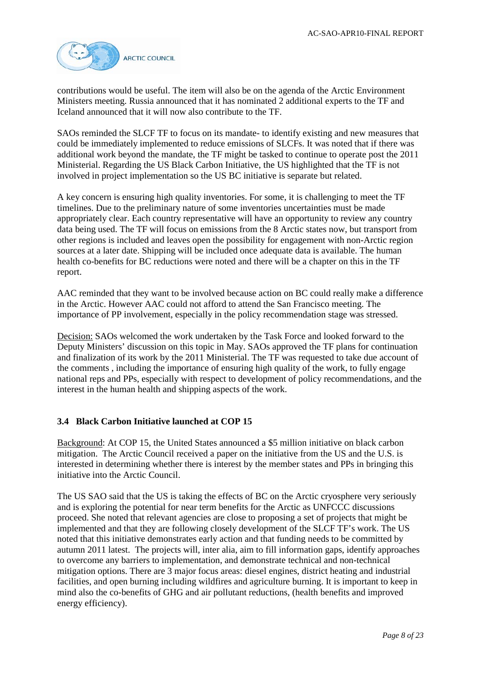

contributions would be useful. The item will also be on the agenda of the Arctic Environment Ministers meeting. Russia announced that it has nominated 2 additional experts to the TF and Iceland announced that it will now also contribute to the TF.

SAOs reminded the SLCF TF to focus on its mandate- to identify existing and new measures that could be immediately implemented to reduce emissions of SLCFs. It was noted that if there was additional work beyond the mandate, the TF might be tasked to continue to operate post the 2011 Ministerial. Regarding the US Black Carbon Initiative, the US highlighted that the TF is not involved in project implementation so the US BC initiative is separate but related.

A key concern is ensuring high quality inventories. For some, it is challenging to meet the TF timelines. Due to the preliminary nature of some inventories uncertainties must be made appropriately clear. Each country representative will have an opportunity to review any country data being used. The TF will focus on emissions from the 8 Arctic states now, but transport from other regions is included and leaves open the possibility for engagement with non-Arctic region sources at a later date. Shipping will be included once adequate data is available. The human health co-benefits for BC reductions were noted and there will be a chapter on this in the TF report.

AAC reminded that they want to be involved because action on BC could really make a difference in the Arctic. However AAC could not afford to attend the San Francisco meeting. The importance of PP involvement, especially in the policy recommendation stage was stressed.

Decision: SAOs welcomed the work undertaken by the Task Force and looked forward to the Deputy Ministers' discussion on this topic in May. SAOs approved the TF plans for continuation and finalization of its work by the 2011 Ministerial. The TF was requested to take due account of the comments , including the importance of ensuring high quality of the work, to fully engage national reps and PPs, especially with respect to development of policy recommendations, and the interest in the human health and shipping aspects of the work.

### **3.4 Black Carbon Initiative launched at COP 15**

Background: At COP 15, the United States announced a \$5 million initiative on black carbon mitigation. The Arctic Council received a paper on the initiative from the US and the U.S. is interested in determining whether there is interest by the member states and PPs in bringing this initiative into the Arctic Council.

The US SAO said that the US is taking the effects of BC on the Arctic cryosphere very seriously and is exploring the potential for near term benefits for the Arctic as UNFCCC discussions proceed. She noted that relevant agencies are close to proposing a set of projects that might be implemented and that they are following closely development of the SLCF TF's work. The US noted that this initiative demonstrates early action and that funding needs to be committed by autumn 2011 latest. The projects will, inter alia, aim to fill information gaps, identify approaches to overcome any barriers to implementation, and demonstrate technical and non-technical mitigation options. There are 3 major focus areas: diesel engines, district heating and industrial facilities, and open burning including wildfires and agriculture burning. It is important to keep in mind also the co-benefits of GHG and air pollutant reductions, (health benefits and improved energy efficiency).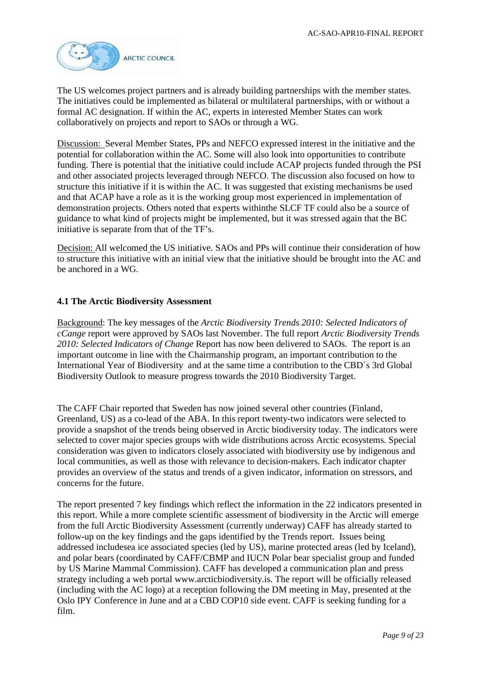

The US welcomes project partners and is already building partnerships with the member states. The initiatives could be implemented as bilateral or multilateral partnerships, with or without a formal AC designation. If within the AC, experts in interested Member States can work collaboratively on projects and report to SAOs or through a WG.

Discussion: Several Member States, PPs and NEFCO expressed interest in the initiative and the potential for collaboration within the AC. Some will also look into opportunities to contribute funding. There is potential that the initiative could include ACAP projects funded through the PSI and other associated projects leveraged through NEFCO. The discussion also focused on how to structure this initiative if it is within the AC. It was suggested that existing mechanisms be used and that ACAP have a role as it is the working group most experienced in implementation of demonstration projects. Others noted that experts withinthe SLCF TF could also be a source of guidance to what kind of projects might be implemented, but it was stressed again that the BC initiative is separate from that of the TF's.

Decision: All welcomed the US initiative. SAOs and PPs will continue their consideration of how to structure this initiative with an initial view that the initiative should be brought into the AC and be anchored in a WG.

# **4.1 The Arctic Biodiversity Assessment**

Background: The key messages of the *Arctic Biodiversity Trends 2010: Selected Indicators of cCange* report were approved by SAOs last November. The full report *Arctic Biodiversity Trends 2010: Selected Indicators of Change* Report has now been delivered to SAOs. The report is an important outcome in line with the Chairmanship program, an important contribution to the International Year of Biodiversity and at the same time a contribution to the CBD´s 3rd Global Biodiversity Outlook to measure progress towards the 2010 Biodiversity Target.

The CAFF Chair reported that Sweden has now joined several other countries (Finland, Greenland, US) as a co-lead of the ABA. In this report twenty-two indicators were selected to provide a snapshot of the trends being observed in Arctic biodiversity today. The indicators were selected to cover major species groups with wide distributions across Arctic ecosystems. Special consideration was given to indicators closely associated with biodiversity use by indigenous and local communities, as well as those with relevance to decision-makers. Each indicator chapter provides an overview of the status and trends of a given indicator, information on stressors, and concerns for the future.

The report presented 7 key findings which reflect the information in the 22 indicators presented in this report. While a more complete scientific assessment of biodiversity in the Arctic will emerge from the full Arctic Biodiversity Assessment (currently underway) CAFF has already started to follow-up on the key findings and the gaps identified by the Trends report. Issues being addressed includesea ice associated species (led by US), marine protected areas (led by Iceland), and polar bears (coordinated by CAFF/CBMP and IUCN Polar bear specialist group and funded by US Marine Mammal Commission). CAFF has developed a communication plan and press strategy including a web portal www.arcticbiodiversity.is. The report will be officially released (including with the AC logo) at a reception following the DM meeting in May, presented at the Oslo IPY Conference in June and at a CBD COP10 side event. CAFF is seeking funding for a film.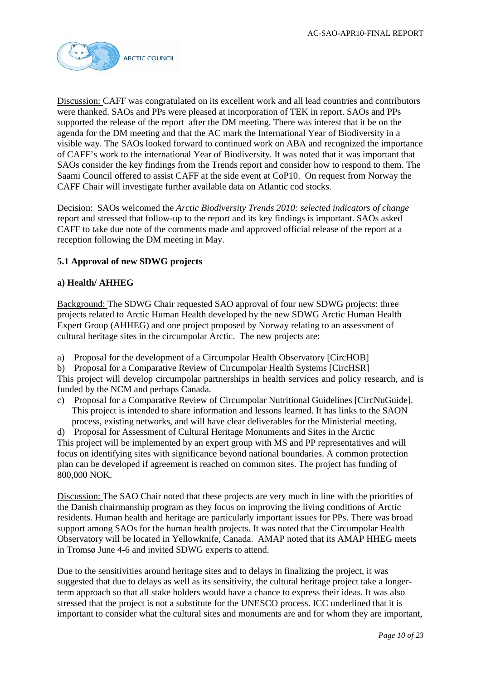

Discussion: CAFF was congratulated on its excellent work and all lead countries and contributors were thanked. SAOs and PPs were pleased at incorporation of TEK in report. SAOs and PPs supported the release of the report after the DM meeting. There was interest that it be on the agenda for the DM meeting and that the AC mark the International Year of Biodiversity in a visible way. The SAOs looked forward to continued work on ABA and recognized the importance of CAFF's work to the international Year of Biodiversity. It was noted that it was important that SAOs consider the key findings from the Trends report and consider how to respond to them. The Saami Council offered to assist CAFF at the side event at CoP10. On request from Norway the CAFF Chair will investigate further available data on Atlantic cod stocks.

Decision: SAOs welcomed the *Arctic Biodiversity Trends 2010: selected indicators of change* report and stressed that follow-up to the report and its key findings is important. SAOs asked CAFF to take due note of the comments made and approved official release of the report at a reception following the DM meeting in May.

# **5.1 Approval of new SDWG projects**

### **a) Health/ AHHEG**

Background: The SDWG Chair requested SAO approval of four new SDWG projects: three projects related to Arctic Human Health developed by the new SDWG Arctic Human Health Expert Group (AHHEG) and one project proposed by Norway relating to an assessment of cultural heritage sites in the circumpolar Arctic. The new projects are:

- a) Proposal for the development of a Circumpolar Health Observatory [CircHOB]
- b) Proposal for a Comparative Review of Circumpolar Health Systems [CircHSR]

This project will develop circumpolar partnerships in health services and policy research, and is funded by the NCM and perhaps Canada.

c) Proposal for a Comparative Review of Circumpolar Nutritional Guidelines [CircNuGuide]. This project is intended to share information and lessons learned. It has links to the SAON process, existing networks, and will have clear deliverables for the Ministerial meeting.

d) Proposal for Assessment of Cultural Heritage Monuments and Sites in the Arctic This project will be implemented by an expert group with MS and PP representatives and will focus on identifying sites with significance beyond national boundaries. A common protection plan can be developed if agreement is reached on common sites. The project has funding of 800,000 NOK.

Discussion: The SAO Chair noted that these projects are very much in line with the priorities of the Danish chairmanship program as they focus on improving the living conditions of Arctic residents. Human health and heritage are particularly important issues for PPs. There was broad support among SAOs for the human health projects. It was noted that the Circumpolar Health Observatory will be located in Yellowknife, Canada. AMAP noted that its AMAP HHEG meets in Tromsø June 4-6 and invited SDWG experts to attend.

Due to the sensitivities around heritage sites and to delays in finalizing the project, it was suggested that due to delays as well as its sensitivity, the cultural heritage project take a longerterm approach so that all stake holders would have a chance to express their ideas. It was also stressed that the project is not a substitute for the UNESCO process. ICC underlined that it is important to consider what the cultural sites and monuments are and for whom they are important,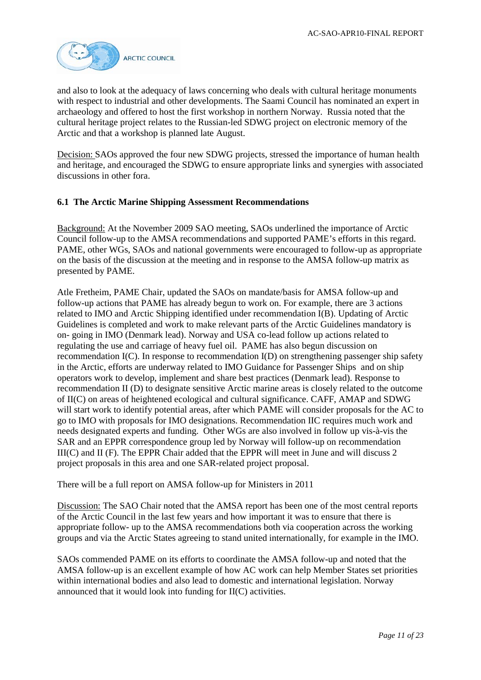

and also to look at the adequacy of laws concerning who deals with cultural heritage monuments with respect to industrial and other developments. The Saami Council has nominated an expert in archaeology and offered to host the first workshop in northern Norway. Russia noted that the cultural heritage project relates to the Russian-led SDWG project on electronic memory of the Arctic and that a workshop is planned late August.

Decision: SAOs approved the four new SDWG projects, stressed the importance of human health and heritage, and encouraged the SDWG to ensure appropriate links and synergies with associated discussions in other fora.

### **6.1 The Arctic Marine Shipping Assessment Recommendations**

Background: At the November 2009 SAO meeting, SAOs underlined the importance of Arctic Council follow-up to the AMSA recommendations and supported PAME's efforts in this regard. PAME, other WGs, SAOs and national governments were encouraged to follow-up as appropriate on the basis of the discussion at the meeting and in response to the AMSA follow-up matrix as presented by PAME.

Atle Fretheim, PAME Chair, updated the SAOs on mandate/basis for AMSA follow-up and follow-up actions that PAME has already begun to work on. For example, there are 3 actions related to IMO and Arctic Shipping identified under recommendation I(B). Updating of Arctic Guidelines is completed and work to make relevant parts of the Arctic Guidelines mandatory is on- going in IMO (Denmark lead). Norway and USA co-lead follow up actions related to regulating the use and carriage of heavy fuel oil. PAME has also begun discussion on recommendation I(C). In response to recommendation I(D) on strengthening passenger ship safety in the Arctic, efforts are underway related to IMO Guidance for Passenger Ships and on ship operators work to develop, implement and share best practices (Denmark lead). Response to recommendation II (D) to designate sensitive Arctic marine areas is closely related to the outcome of II(C) on areas of heightened ecological and cultural significance. CAFF, AMAP and SDWG will start work to identify potential areas, after which PAME will consider proposals for the AC to go to IMO with proposals for IMO designations. Recommendation IIC requires much work and needs designated experts and funding. Other WGs are also involved in follow up vis-à-vis the SAR and an EPPR correspondence group led by Norway will follow-up on recommendation III(C) and II (F). The EPPR Chair added that the EPPR will meet in June and will discuss 2 project proposals in this area and one SAR-related project proposal.

There will be a full report on AMSA follow-up for Ministers in 2011

Discussion: The SAO Chair noted that the AMSA report has been one of the most central reports of the Arctic Council in the last few years and how important it was to ensure that there is appropriate follow- up to the AMSA recommendations both via cooperation across the working groups and via the Arctic States agreeing to stand united internationally, for example in the IMO.

SAOs commended PAME on its efforts to coordinate the AMSA follow-up and noted that the AMSA follow-up is an excellent example of how AC work can help Member States set priorities within international bodies and also lead to domestic and international legislation. Norway announced that it would look into funding for II(C) activities.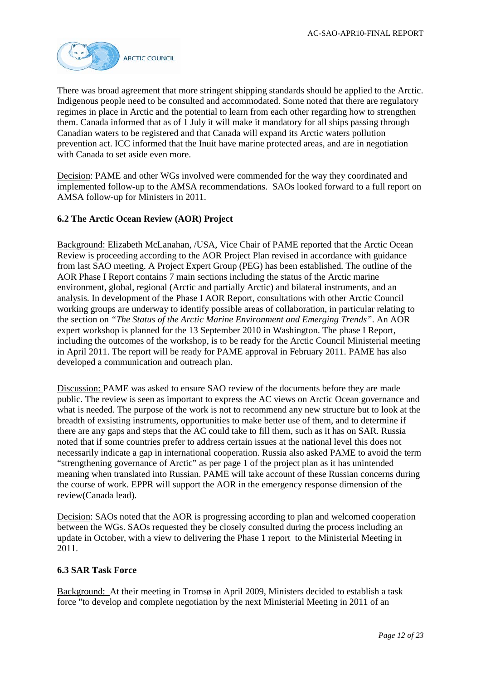

There was broad agreement that more stringent shipping standards should be applied to the Arctic. Indigenous people need to be consulted and accommodated. Some noted that there are regulatory regimes in place in Arctic and the potential to learn from each other regarding how to strengthen them. Canada informed that as of 1 July it will make it mandatory for all ships passing through Canadian waters to be registered and that Canada will expand its Arctic waters pollution prevention act. ICC informed that the Inuit have marine protected areas, and are in negotiation with Canada to set aside even more.

Decision: PAME and other WGs involved were commended for the way they coordinated and implemented follow-up to the AMSA recommendations. SAOs looked forward to a full report on AMSA follow-up for Ministers in 2011.

### **6.2 The Arctic Ocean Review (AOR) Project**

Background: Elizabeth McLanahan, /USA, Vice Chair of PAME reported that the Arctic Ocean Review is proceeding according to the AOR Project Plan revised in accordance with guidance from last SAO meeting. A Project Expert Group (PEG) has been established. The outline of the AOR Phase I Report contains 7 main sections including the status of the Arctic marine environment, global, regional (Arctic and partially Arctic) and bilateral instruments, and an analysis. In development of the Phase I AOR Report, consultations with other Arctic Council working groups are underway to identify possible areas of collaboration, in particular relating to the section on *"The Status of the Arctic Marine Environment and Emerging Trends"*. An AOR expert workshop is planned for the 13 September 2010 in Washington. The phase I Report, including the outcomes of the workshop, is to be ready for the Arctic Council Ministerial meeting in April 2011. The report will be ready for PAME approval in February 2011. PAME has also developed a communication and outreach plan.

Discussion: PAME was asked to ensure SAO review of the documents before they are made public. The review is seen as important to express the AC views on Arctic Ocean governance and what is needed. The purpose of the work is not to recommend any new structure but to look at the breadth of exsisting instruments, opportunities to make better use of them, and to determine if there are any gaps and steps that the AC could take to fill them, such as it has on SAR. Russia noted that if some countries prefer to address certain issues at the national level this does not necessarily indicate a gap in international cooperation. Russia also asked PAME to avoid the term "strengthening governance of Arctic" as per page 1 of the project plan as it has unintended meaning when translated into Russian. PAME will take account of these Russian concerns during the course of work. EPPR will support the AOR in the emergency response dimension of the review(Canada lead).

Decision: SAOs noted that the AOR is progressing according to plan and welcomed cooperation between the WGs. SAOs requested they be closely consulted during the process including an update in October, with a view to delivering the Phase 1 report to the Ministerial Meeting in 2011.

## **6.3 SAR Task Force**

Background: At their meeting in Tromsø in April 2009, Ministers decided to establish a task force "to develop and complete negotiation by the next Ministerial Meeting in 2011 of an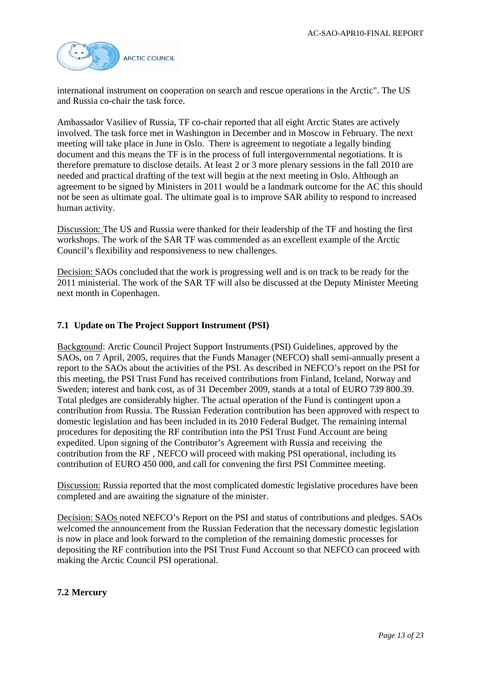

international instrument on cooperation on search and rescue operations in the Arctic". The US and Russia co-chair the task force.

Ambassador Vasiliev of Russia, TF co-chair reported that all eight Arctic States are actively involved. The task force met in Washington in December and in Moscow in February. The next meeting will take place in June in Oslo. There is agreement to negotiate a legally binding document and this means the TF is in the process of full intergovernmental negotiations. It is therefore premature to disclose details. At least 2 or 3 more plenary sessions in the fall 2010 are needed and practical drafting of the text will begin at the next meeting in Oslo. Although an agreement to be signed by Ministers in 2011 would be a landmark outcome for the AC this should not be seen as ultimate goal. The ultimate goal is to improve SAR ability to respond to increased human activity.

Discussion: The US and Russia were thanked for their leadership of the TF and hosting the first workshops. The work of the SAR TF was commended as an excellent example of the Arctic Council's flexibility and responsiveness to new challenges.

Decision: SAOs concluded that the work is progressing well and is on track to be ready for the 2011 ministerial. The work of the SAR TF will also be discussed at the Deputy Minister Meeting next month in Copenhagen.

### **7.1 Update on The Project Support Instrument (PSI)**

Background: Arctic Council Project Support Instruments (PSI) Guidelines, approved by the SAOs, on 7 April, 2005, requires that the Funds Manager (NEFCO) shall semi-annually present a report to the SAOs about the activities of the PSI. As described in NEFCO's report on the PSI for this meeting, the PSI Trust Fund has received contributions from Finland, Iceland, Norway and Sweden; interest and bank cost, as of 31 December 2009, stands at a total of EURO 739 800.39. Total pledges are considerably higher. The actual operation of the Fund is contingent upon a contribution from Russia. The Russian Federation contribution has been approved with respect to domestic legislation and has been included in its 2010 Federal Budget. The remaining internal procedures for depositing the RF contribution into the PSI Trust Fund Account are being expedited. Upon signing of the Contributor's Agreement with Russia and receiving the contribution from the RF , NEFCO will proceed with making PSI operational, including its contribution of EURO 450 000, and call for convening the first PSI Committee meeting.

Discussion: Russia reported that the most complicated domestic legislative procedures have been completed and are awaiting the signature of the minister.

Decision: SAOs noted NEFCO's Report on the PSI and status of contributions and pledges. SAOs welcomed the announcement from the Russian Federation that the necessary domestic legislation is now in place and look forward to the completion of the remaining domestic processes for depositing the RF contribution into the PSI Trust Fund Account so that NEFCO can proceed with making the Arctic Council PSI operational.

#### **7.2 Mercury**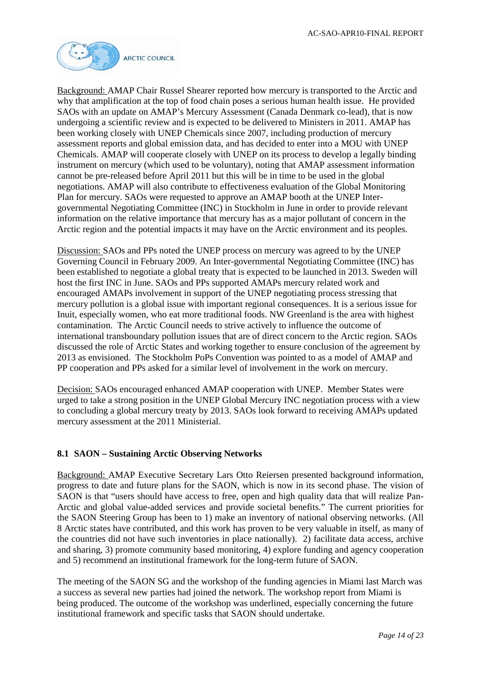

Background: AMAP Chair Russel Shearer reported how mercury is transported to the Arctic and why that amplification at the top of food chain poses a serious human health issue. He provided SAOs with an update on AMAP's Mercury Assessment (Canada Denmark co-lead), that is now undergoing a scientific review and is expected to be delivered to Ministers in 2011. AMAP has been working closely with UNEP Chemicals since 2007, including production of mercury assessment reports and global emission data, and has decided to enter into a MOU with UNEP Chemicals. AMAP will cooperate closely with UNEP on its process to develop a legally binding instrument on mercury (which used to be voluntary), noting that AMAP assessment information cannot be pre-released before April 2011 but this will be in time to be used in the global negotiations. AMAP will also contribute to effectiveness evaluation of the Global Monitoring Plan for mercury. SAOs were requested to approve an AMAP booth at the UNEP Intergovernmental Negotiating Committee (INC) in Stockholm in June in order to provide relevant information on the relative importance that mercury has as a major pollutant of concern in the Arctic region and the potential impacts it may have on the Arctic environment and its peoples.

Discussion: SAOs and PPs noted the UNEP process on mercury was agreed to by the UNEP Governing Council in February 2009. An Inter-governmental Negotiating Committee (INC) has been established to negotiate a global treaty that is expected to be launched in 2013. Sweden will host the first INC in June. SAOs and PPs supported AMAPs mercury related work and encouraged AMAPs involvement in support of the UNEP negotiating process stressing that mercury pollution is a global issue with important regional consequences. It is a serious issue for Inuit, especially women, who eat more traditional foods. NW Greenland is the area with highest contamination. The Arctic Council needs to strive actively to influence the outcome of international transboundary pollution issues that are of direct concern to the Arctic region. SAOs discussed the role of Arctic States and working together to ensure conclusion of the agreement by 2013 as envisioned. The Stockholm PoPs Convention was pointed to as a model of AMAP and PP cooperation and PPs asked for a similar level of involvement in the work on mercury.

Decision: SAOs encouraged enhanced AMAP cooperation with UNEP. Member States were urged to take a strong position in the UNEP Global Mercury INC negotiation process with a view to concluding a global mercury treaty by 2013. SAOs look forward to receiving AMAPs updated mercury assessment at the 2011 Ministerial.

# **8.1 SAON – Sustaining Arctic Observing Networks**

Background: AMAP Executive Secretary Lars Otto Reiersen presented background information, progress to date and future plans for the SAON, which is now in its second phase. The vision of SAON is that "users should have access to free, open and high quality data that will realize Pan-Arctic and global value-added services and provide societal benefits." The current priorities for the SAON Steering Group has been to 1) make an inventory of national observing networks. (All 8 Arctic states have contributed, and this work has proven to be very valuable in itself, as many of the countries did not have such inventories in place nationally). 2) facilitate data access, archive and sharing, 3) promote community based monitoring, 4) explore funding and agency cooperation and 5) recommend an institutional framework for the long-term future of SAON.

The meeting of the SAON SG and the workshop of the funding agencies in Miami last March was a success as several new parties had joined the network. The workshop report from Miami is being produced. The outcome of the workshop was underlined, especially concerning the future institutional framework and specific tasks that SAON should undertake.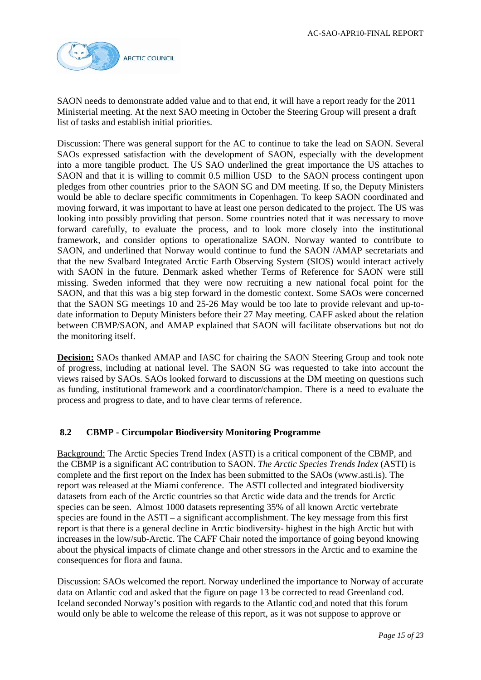

SAON needs to demonstrate added value and to that end, it will have a report ready for the 2011 Ministerial meeting. At the next SAO meeting in October the Steering Group will present a draft list of tasks and establish initial priorities.

Discussion: There was general support for the AC to continue to take the lead on SAON. Several SAOs expressed satisfaction with the development of SAON, especially with the development into a more tangible product. The US SAO underlined the great importance the US attaches to SAON and that it is willing to commit 0.5 million USD to the SAON process contingent upon pledges from other countries prior to the SAON SG and DM meeting. If so, the Deputy Ministers would be able to declare specific commitments in Copenhagen. To keep SAON coordinated and moving forward, it was important to have at least one person dedicated to the project. The US was looking into possibly providing that person. Some countries noted that it was necessary to move forward carefully, to evaluate the process, and to look more closely into the institutional framework, and consider options to operationalize SAON. Norway wanted to contribute to SAON, and underlined that Norway would continue to fund the SAON /AMAP secretariats and that the new Svalbard Integrated Arctic Earth Observing System (SIOS) would interact actively with SAON in the future. Denmark asked whether Terms of Reference for SAON were still missing. Sweden informed that they were now recruiting a new national focal point for the SAON, and that this was a big step forward in the domestic context. Some SAOs were concerned that the SAON SG meetings 10 and 25-26 May would be too late to provide relevant and up-todate information to Deputy Ministers before their 27 May meeting. CAFF asked about the relation between CBMP/SAON, and AMAP explained that SAON will facilitate observations but not do the monitoring itself.

**Decision:** SAOs thanked AMAP and IASC for chairing the SAON Steering Group and took note of progress, including at national level. The SAON SG was requested to take into account the views raised by SAOs. SAOs looked forward to discussions at the DM meeting on questions such as funding, institutional framework and a coordinator/champion. There is a need to evaluate the process and progress to date, and to have clear terms of reference.

## **8.2 CBMP - Circumpolar Biodiversity Monitoring Programme**

Background: The Arctic Species Trend Index (ASTI) is a critical component of the CBMP, and the CBMP is a significant AC contribution to SAON. *The Arctic Species Trends Index* (ASTI) is complete and the first report on the Index has been submitted to the SAOs (www.asti.is). The report was released at the Miami conference. The ASTI collected and integrated biodiversity datasets from each of the Arctic countries so that Arctic wide data and the trends for Arctic species can be seen. Almost 1000 datasets representing 35% of all known Arctic vertebrate species are found in the ASTI – a significant accomplishment. The key message from this first report is that there is a general decline in Arctic biodiversity- highest in the high Arctic but with increases in the low/sub-Arctic. The CAFF Chair noted the importance of going beyond knowing about the physical impacts of climate change and other stressors in the Arctic and to examine the consequences for flora and fauna.

Discussion: SAOs welcomed the report. Norway underlined the importance to Norway of accurate data on Atlantic cod and asked that the figure on page 13 be corrected to read Greenland cod. Iceland seconded Norway's position with regards to the Atlantic cod and noted that this forum would only be able to welcome the release of this report, as it was not suppose to approve or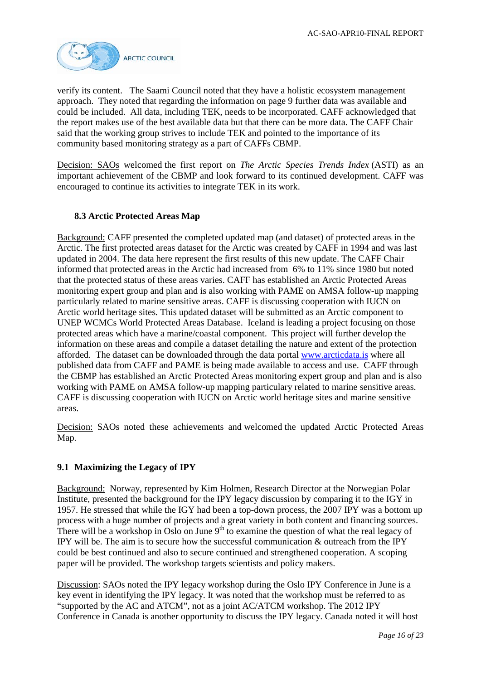

verify its content. The Saami Council noted that they have a holistic ecosystem management approach. They noted that regarding the information on page 9 further data was available and could be included. All data, including TEK, needs to be incorporated. CAFF acknowledged that the report makes use of the best available data but that there can be more data. The CAFF Chair said that the working group strives to include TEK and pointed to the importance of its community based monitoring strategy as a part of CAFFs CBMP.

Decision: SAOs welcomed the first report on *The Arctic Species Trends Index* (ASTI) as an important achievement of the CBMP and look forward to its continued development. CAFF was encouraged to continue its activities to integrate TEK in its work.

# **8.3 Arctic Protected Areas Map**

Background: CAFF presented the completed updated map (and dataset) of protected areas in the Arctic. The first protected areas dataset for the Arctic was created by CAFF in 1994 and was last updated in 2004. The data here represent the first results of this new update. The CAFF Chair informed that protected areas in the Arctic had increased from 6% to 11% since 1980 but noted that the protected status of these areas varies. CAFF has established an Arctic Protected Areas monitoring expert group and plan and is also working with PAME on AMSA follow-up mapping particularly related to marine sensitive areas. CAFF is discussing cooperation with IUCN on Arctic world heritage sites. This updated dataset will be submitted as an Arctic component to UNEP WCMCs World Protected Areas Database. Iceland is leading a project focusing on those protected areas which have a marine/coastal component. This project will further develop the information on these areas and compile a dataset detailing the nature and extent of the protection afforded. The dataset can be downloaded through the data portal [www.arcticdata.is](http://www.arcticdata.is/) where all published data from CAFF and PAME is being made available to access and use. CAFF through the CBMP has established an Arctic Protected Areas monitoring expert group and plan and is also working with PAME on AMSA follow-up mapping particulary related to marine sensitive areas. CAFF is discussing cooperation with IUCN on Arctic world heritage sites and marine sensitive areas.

Decision: SAOs noted these achievements and welcomed the updated Arctic Protected Areas Map.

### **9.1 Maximizing the Legacy of IPY**

Background: Norway, represented by Kim Holmen, Research Director at the Norwegian Polar Institute, presented the background for the IPY legacy discussion by comparing it to the IGY in 1957. He stressed that while the IGY had been a top-down process, the 2007 IPY was a bottom up process with a huge number of projects and a great variety in both content and financing sources. There will be a workshop in Oslo on June  $9<sup>th</sup>$  to examine the question of what the real legacy of IPY will be. The aim is to secure how the successful communication & outreach from the IPY could be best continued and also to secure continued and strengthened cooperation. A scoping paper will be provided. The workshop targets scientists and policy makers.

Discussion: SAOs noted the IPY legacy workshop during the Oslo IPY Conference in June is a key event in identifying the IPY legacy. It was noted that the workshop must be referred to as "supported by the AC and ATCM", not as a joint AC/ATCM workshop. The 2012 IPY Conference in Canada is another opportunity to discuss the IPY legacy. Canada noted it will host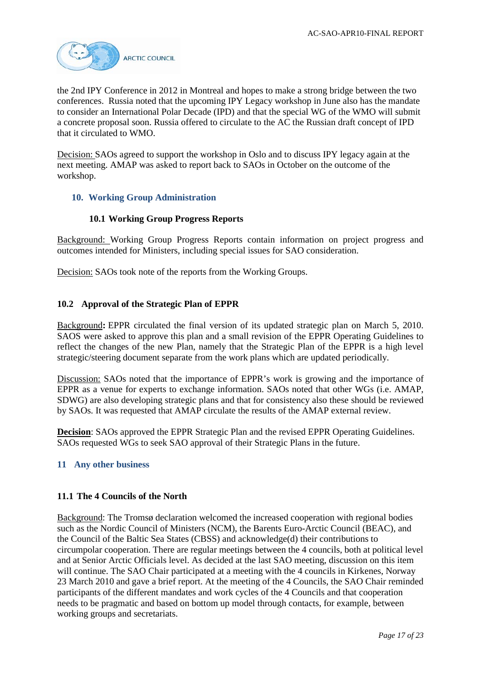

the 2nd IPY Conference in 2012 in Montreal and hopes to make a strong bridge between the two conferences. Russia noted that the upcoming IPY Legacy workshop in June also has the mandate to consider an International Polar Decade (IPD) and that the special WG of the WMO will submit a concrete proposal soon. Russia offered to circulate to the AC the Russian draft concept of IPD that it circulated to WMO.

Decision: SAOs agreed to support the workshop in Oslo and to discuss IPY legacy again at the next meeting. AMAP was asked to report back to SAOs in October on the outcome of the workshop.

### **10. Working Group Administration**

### **10.1 Working Group Progress Reports**

Background: Working Group Progress Reports contain information on project progress and outcomes intended for Ministers, including special issues for SAO consideration.

Decision: SAOs took note of the reports from the Working Groups.

### **10.2 Approval of the Strategic Plan of EPPR**

Background**:** EPPR circulated the final version of its updated strategic plan on March 5, 2010. SAOS were asked to approve this plan and a small revision of the EPPR Operating Guidelines to reflect the changes of the new Plan, namely that the Strategic Plan of the EPPR is a high level strategic/steering document separate from the work plans which are updated periodically.

Discussion: SAOs noted that the importance of EPPR's work is growing and the importance of EPPR as a venue for experts to exchange information. SAOs noted that other WGs (i.e. AMAP, SDWG) are also developing strategic plans and that for consistency also these should be reviewed by SAOs. It was requested that AMAP circulate the results of the AMAP external review.

**Decision**: SAOs approved the EPPR Strategic Plan and the revised EPPR Operating Guidelines. SAOs requested WGs to seek SAO approval of their Strategic Plans in the future.

#### **11 Any other business**

#### **11.1 The 4 Councils of the North**

Background: The Tromsø declaration welcomed the increased cooperation with regional bodies such as the Nordic Council of Ministers (NCM), the Barents Euro-Arctic Council (BEAC), and the Council of the Baltic Sea States (CBSS) and acknowledge(d) their contributions to circumpolar cooperation. There are regular meetings between the 4 councils, both at political level and at Senior Arctic Officials level. As decided at the last SAO meeting, discussion on this item will continue. The SAO Chair participated at a meeting with the 4 councils in Kirkenes, Norway 23 March 2010 and gave a brief report. At the meeting of the 4 Councils, the SAO Chair reminded participants of the different mandates and work cycles of the 4 Councils and that cooperation needs to be pragmatic and based on bottom up model through contacts, for example, between working groups and secretariats.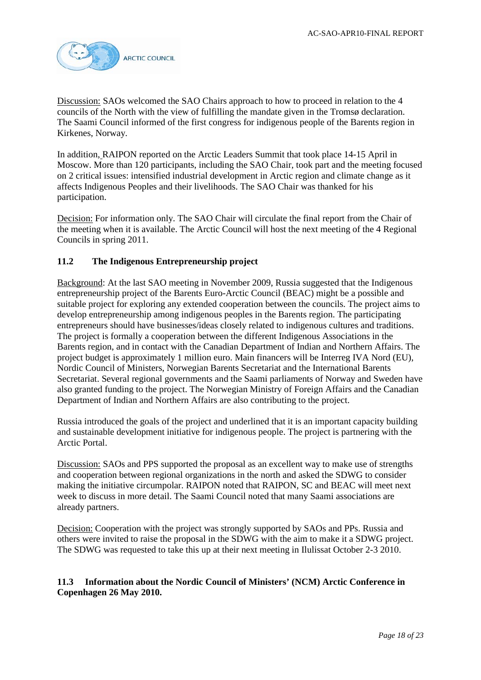

Discussion: SAOs welcomed the SAO Chairs approach to how to proceed in relation to the 4 councils of the North with the view of fulfilling the mandate given in the Tromsø declaration. The Saami Council informed of the first congress for indigenous people of the Barents region in Kirkenes, Norway.

In addition, RAIPON reported on the Arctic Leaders Summit that took place 14-15 April in Moscow. More than 120 participants, including the SAO Chair, took part and the meeting focused on 2 critical issues: intensified industrial development in Arctic region and climate change as it affects Indigenous Peoples and their livelihoods. The SAO Chair was thanked for his participation.

Decision: For information only. The SAO Chair will circulate the final report from the Chair of the meeting when it is available. The Arctic Council will host the next meeting of the 4 Regional Councils in spring 2011.

# **11.2 The Indigenous Entrepreneurship project**

Background: At the last SAO meeting in November 2009, Russia suggested that the Indigenous entrepreneurship project of the Barents Euro-Arctic Council (BEAC) might be a possible and suitable project for exploring any extended cooperation between the councils. The project aims to develop entrepreneurship among indigenous peoples in the Barents region. The participating entrepreneurs should have businesses/ideas closely related to indigenous cultures and traditions. The project is formally a cooperation between the different Indigenous Associations in the Barents region, and in contact with the Canadian Department of Indian and Northern Affairs. The project budget is approximately 1 million euro. Main financers will be Interreg IVA Nord (EU), Nordic Council of Ministers, Norwegian Barents Secretariat and the International Barents Secretariat. Several regional governments and the Saami parliaments of Norway and Sweden have also granted funding to the project. The Norwegian Ministry of Foreign Affairs and the Canadian Department of Indian and Northern Affairs are also contributing to the project.

Russia introduced the goals of the project and underlined that it is an important capacity building and sustainable development initiative for indigenous people. The project is partnering with the Arctic Portal.

Discussion: SAOs and PPS supported the proposal as an excellent way to make use of strengths and cooperation between regional organizations in the north and asked the SDWG to consider making the initiative circumpolar. RAIPON noted that RAIPON, SC and BEAC will meet next week to discuss in more detail. The Saami Council noted that many Saami associations are already partners.

Decision: Cooperation with the project was strongly supported by SAOs and PPs. Russia and others were invited to raise the proposal in the SDWG with the aim to make it a SDWG project. The SDWG was requested to take this up at their next meeting in Ilulissat October 2-3 2010.

# **11.3 Information about the Nordic Council of Ministers' (NCM) Arctic Conference in Copenhagen 26 May 2010.**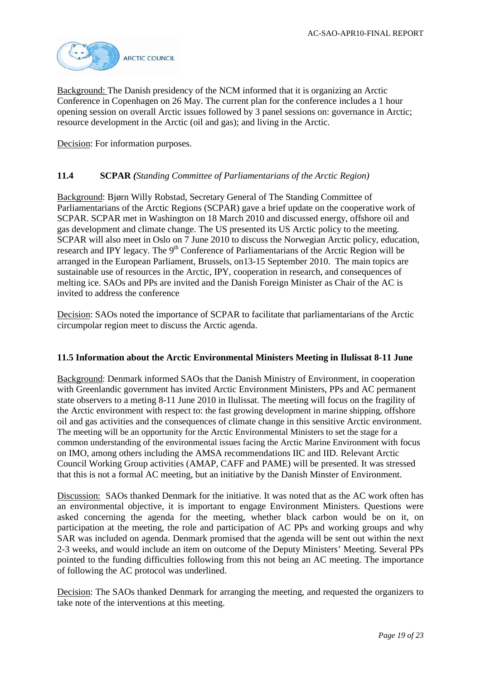

Background: The Danish presidency of the NCM informed that it is organizing an Arctic Conference in Copenhagen on 26 May. The current plan for the conference includes a 1 hour opening session on overall Arctic issues followed by 3 panel sessions on: governance in Arctic; resource development in the Arctic (oil and gas); and living in the Arctic.

Decision: For information purposes.

### **11.4 SCPAR** *(Standing Committee of Parliamentarians of the Arctic Region)*

Background: Bjørn Willy Robstad, Secretary General of The Standing Committee of Parliamentarians of the Arctic Regions (SCPAR) gave a brief update on the cooperative work of SCPAR. SCPAR met in Washington on 18 March 2010 and discussed energy, offshore oil and gas development and climate change. The US presented its US Arctic policy to the meeting. SCPAR will also meet in Oslo on 7 June 2010 to discuss the Norwegian Arctic policy, education, research and IPY legacy. The 9<sup>th</sup> Conference of Parliamentarians of the Arctic Region will be arranged in the European Parliament, Brussels, on13-15 September 2010. The main topics are sustainable use of resources in the Arctic, IPY, cooperation in research, and consequences of melting ice. SAOs and PPs are invited and the Danish Foreign Minister as Chair of the AC is invited to address the conference

Decision: SAOs noted the importance of SCPAR to facilitate that parliamentarians of the Arctic circumpolar region meet to discuss the Arctic agenda.

#### **11.5 Information about the Arctic Environmental Ministers Meeting in Ilulissat 8-11 June**

Background: Denmark informed SAOs that the Danish Ministry of Environment, in cooperation with Greenlandic government has invited Arctic Environment Ministers, PPs and AC permanent state observers to a meting 8-11 June 2010 in Ilulissat. The meeting will focus on the fragility of the Arctic environment with respect to: the fast growing development in marine shipping, offshore oil and gas activities and the consequences of climate change in this sensitive Arctic environment. The meeting will be an opportunity for the Arctic Environmental Ministers to set the stage for a common understanding of the environmental issues facing the Arctic Marine Environment with focus on IMO, among others including the AMSA recommendations IIC and IID. Relevant Arctic Council Working Group activities (AMAP, CAFF and PAME) will be presented. It was stressed that this is not a formal AC meeting, but an initiative by the Danish Minster of Environment.

Discussion: SAOs thanked Denmark for the initiative. It was noted that as the AC work often has an environmental objective, it is important to engage Environment Ministers. Questions were asked concerning the agenda for the meeting, whether black carbon would be on it, on participation at the meeting, the role and participation of AC PPs and working groups and why SAR was included on agenda. Denmark promised that the agenda will be sent out within the next 2-3 weeks, and would include an item on outcome of the Deputy Ministers' Meeting. Several PPs pointed to the funding difficulties following from this not being an AC meeting. The importance of following the AC protocol was underlined.

Decision: The SAOs thanked Denmark for arranging the meeting, and requested the organizers to take note of the interventions at this meeting.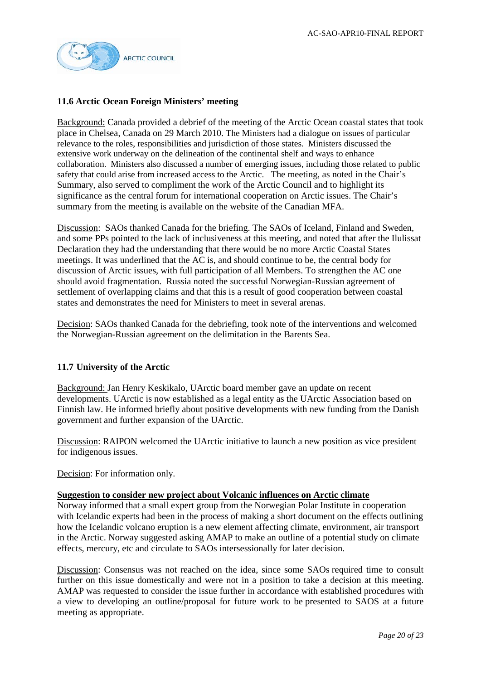

## **11.6 Arctic Ocean Foreign Ministers' meeting**

Background: Canada provided a debrief of the meeting of the Arctic Ocean coastal states that took place in Chelsea, Canada on 29 March 2010. The Ministers had a dialogue on issues of particular relevance to the roles, responsibilities and jurisdiction of those states. Ministers discussed the extensive work underway on the delineation of the continental shelf and ways to enhance collaboration. Ministers also discussed a number of emerging issues, including those related to public safety that could arise from increased access to the Arctic. The meeting, as noted in the Chair's Summary, also served to compliment the work of the Arctic Council and to highlight its significance as the central forum for international cooperation on Arctic issues. The Chair's summary from the meeting is available on the website of the Canadian MFA.

Discussion: SAOs thanked Canada for the briefing. The SAOs of Iceland, Finland and Sweden, and some PPs pointed to the lack of inclusiveness at this meeting, and noted that after the Ilulissat Declaration they had the understanding that there would be no more Arctic Coastal States meetings. It was underlined that the AC is, and should continue to be, the central body for discussion of Arctic issues, with full participation of all Members. To strengthen the AC one should avoid fragmentation. Russia noted the successful Norwegian-Russian agreement of settlement of overlapping claims and that this is a result of good cooperation between coastal states and demonstrates the need for Ministers to meet in several arenas.

Decision: SAOs thanked Canada for the debriefing, took note of the interventions and welcomed the Norwegian-Russian agreement on the delimitation in the Barents Sea.

### **11.7 University of the Arctic**

Background: Jan Henry Keskikalo, UArctic board member gave an update on recent developments. UArctic is now established as a legal entity as the UArctic Association based on Finnish law. He informed briefly about positive developments with new funding from the Danish government and further expansion of the UArctic.

Discussion: RAIPON welcomed the UArctic initiative to launch a new position as vice president for indigenous issues.

Decision: For information only.

#### **Suggestion to consider new project about Volcanic influences on Arctic climate**

Norway informed that a small expert group from the Norwegian Polar Institute in cooperation with Icelandic experts had been in the process of making a short document on the effects outlining how the Icelandic volcano eruption is a new element affecting climate, environment, air transport in the Arctic. Norway suggested asking AMAP to make an outline of a potential study on climate effects, mercury, etc and circulate to SAOs intersessionally for later decision.

Discussion: Consensus was not reached on the idea, since some SAOs required time to consult further on this issue domestically and were not in a position to take a decision at this meeting. AMAP was requested to consider the issue further in accordance with established procedures with a view to developing an outline/proposal for future work to be presented to SAOS at a future meeting as appropriate.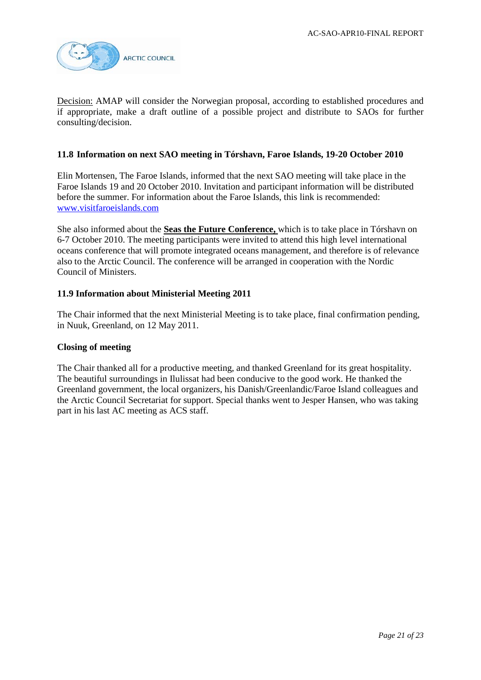

Decision: AMAP will consider the Norwegian proposal, according to established procedures and if appropriate, make a draft outline of a possible project and distribute to SAOs for further consulting/decision.

### **11.8 Information on next SAO meeting in Tórshavn, Faroe Islands, 19-20 October 2010**

Elin Mortensen, The Faroe Islands, informed that the next SAO meeting will take place in the Faroe Islands 19 and 20 October 2010. Invitation and participant information will be distributed before the summer. For information about the Faroe Islands, this link is recommended: [www.visitfaroeislands.com](http://www.visitfaroeislands.com/)

She also informed about the **Seas the Future Conference,** which is to take place in Tórshavn on 6-7 October 2010. The meeting participants were invited to attend this high level international oceans conference that will promote integrated oceans management, and therefore is of relevance also to the Arctic Council. The conference will be arranged in cooperation with the Nordic Council of Ministers.

#### **11.9 Information about Ministerial Meeting 2011**

The Chair informed that the next Ministerial Meeting is to take place, final confirmation pending, in Nuuk, Greenland, on 12 May 2011.

#### **Closing of meeting**

The Chair thanked all for a productive meeting, and thanked Greenland for its great hospitality. The beautiful surroundings in Ilulissat had been conducive to the good work. He thanked the Greenland government, the local organizers, his Danish/Greenlandic/Faroe Island colleagues and the Arctic Council Secretariat for support. Special thanks went to Jesper Hansen, who was taking part in his last AC meeting as ACS staff.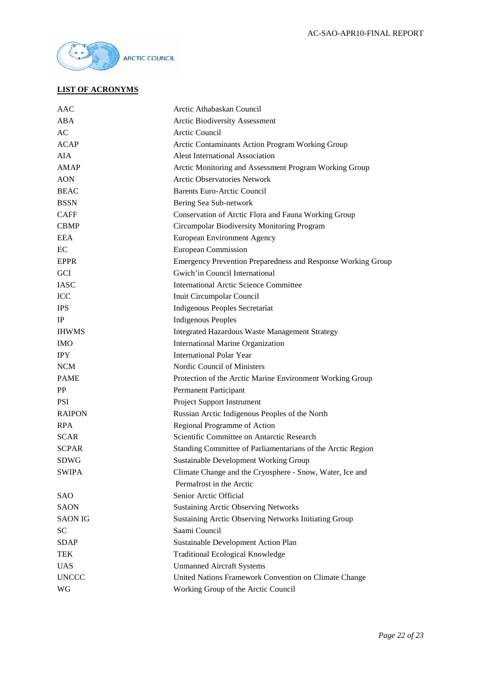

# **LIST OF ACRONYMS**

| AAC            | Arctic Athabaskan Council                                    |
|----------------|--------------------------------------------------------------|
| ABA            | <b>Arctic Biodiversity Assessment</b>                        |
| AC             | Arctic Council                                               |
| <b>ACAP</b>    | Arctic Contaminants Action Program Working Group             |
| <b>AIA</b>     | Aleut International Association                              |
| <b>AMAP</b>    | Arctic Monitoring and Assessment Program Working Group       |
| <b>AON</b>     | <b>Arctic Observatories Network</b>                          |
| <b>BEAC</b>    | <b>Barents Euro-Arctic Council</b>                           |
| <b>BSSN</b>    | Bering Sea Sub-network                                       |
| <b>CAFF</b>    | Conservation of Arctic Flora and Fauna Working Group         |
| <b>CBMP</b>    | Circumpolar Biodiversity Monitoring Program                  |
| <b>EEA</b>     | <b>European Environment Agency</b>                           |
| EC             | <b>European Commission</b>                                   |
| <b>EPPR</b>    | Emergency Prevention Preparedness and Response Working Group |
| <b>GCI</b>     | Gwich'in Council International                               |
| <b>IASC</b>    | <b>International Arctic Science Committee</b>                |
| <b>ICC</b>     | Inuit Circumpolar Council                                    |
| <b>IPS</b>     | <b>Indigenous Peoples Secretariat</b>                        |
| IP             | <b>Indigenous Peoples</b>                                    |
| <b>IHWMS</b>   | <b>Integrated Hazardous Waste Management Strategy</b>        |
| <b>IMO</b>     | <b>International Marine Organization</b>                     |
| <b>IPY</b>     | <b>International Polar Year</b>                              |
| <b>NCM</b>     | Nordic Council of Ministers                                  |
| <b>PAME</b>    | Protection of the Arctic Marine Environment Working Group    |
| <b>PP</b>      | <b>Permanent Participant</b>                                 |
| <b>PSI</b>     | Project Support Instrument                                   |
| <b>RAIPON</b>  | Russian Arctic Indigenous Peoples of the North               |
| <b>RPA</b>     | Regional Programme of Action                                 |
| <b>SCAR</b>    | Scientific Committee on Antarctic Research                   |
| <b>SCPAR</b>   | Standing Committee of Parliamentarians of the Arctic Region  |
| <b>SDWG</b>    | <b>Sustainable Development Working Group</b>                 |
| <b>SWIPA</b>   | Climate Change and the Cryosphere - Snow, Water, Ice and     |
|                | Permafrost in the Arctic                                     |
| <b>SAO</b>     | Senior Arctic Official                                       |
| <b>SAON</b>    | <b>Sustaining Arctic Observing Networks</b>                  |
| <b>SAON IG</b> | Sustaining Arctic Observing Networks Initiating Group        |
| <b>SC</b>      | Saami Council                                                |
| <b>SDAP</b>    | Sustainable Development Action Plan                          |
| TEK            | <b>Traditional Ecological Knowledge</b>                      |
| <b>UAS</b>     | <b>Unmanned Aircraft Systems</b>                             |
| <b>UNCCC</b>   | United Nations Framework Convention on Climate Change        |
| WG             | Working Group of the Arctic Council                          |